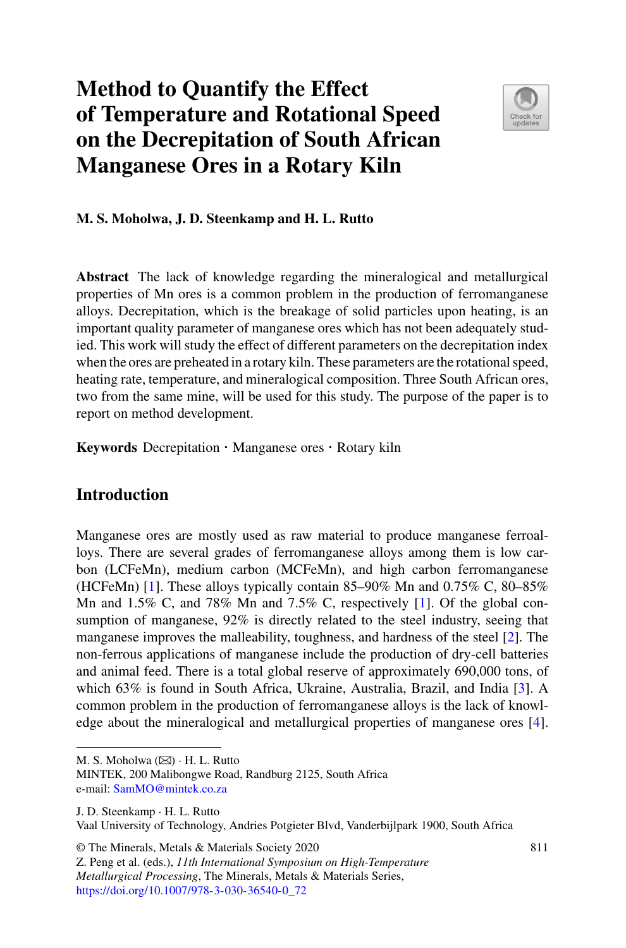# **Method to Quantify the Effect of Temperature and Rotational Speed on the Decrepitation of South African Manganese Ores in a Rotary Kiln**



**M. S. Moholwa, J. D. Steenkamp and H. L. Rutto**

**Abstract** The lack of knowledge regarding the mineralogical and metallurgical properties of Mn ores is a common problem in the production of ferromanganese alloys. Decrepitation, which is the breakage of solid particles upon heating, is an important quality parameter of manganese ores which has not been adequately studied. This work will study the effect of different parameters on the decrepitation index when the ores are preheated in a rotary kiln. These parameters are the rotational speed, heating rate, temperature, and mineralogical composition. Three South African ores, two from the same mine, will be used for this study. The purpose of the paper is to report on method development.

**Keywords** Decrepitation · Manganese ores · Rotary kiln

# **Introduction**

Manganese ores are mostly used as raw material to produce manganese ferroalloys. There are several grades of ferromanganese alloys among them is low carbon (LCFeMn), medium carbon (MCFeMn), and high carbon ferromanganese (HCFeMn) [\[1\]](#page-10-0). These alloys typically contain  $85-90\%$  Mn and  $0.75\%$  C,  $80-85\%$ Mn and  $1.5\%$  C, and 78% Mn and 7.5% C, respectively [\[1\]](#page-10-0). Of the global consumption of manganese, 92% is directly related to the steel industry, seeing that manganese improves the malleability, toughness, and hardness of the steel [\[2\]](#page-10-1). The non-ferrous applications of manganese include the production of dry-cell batteries and animal feed. There is a total global reserve of approximately 690,000 tons, of which 63% is found in South Africa, Ukraine, Australia, Brazil, and India [\[3\]](#page-10-2). A common problem in the production of ferromanganese alloys is the lack of knowledge about the mineralogical and metallurgical properties of manganese ores [\[4\]](#page-10-3).

M. S. Moholwa  $(\boxtimes) \cdot H$ . L. Rutto MINTEK, 200 Malibongwe Road, Randburg 2125, South Africa e-mail: [SamMO@mintek.co.za](mailto:SamMO@mintek.co.za)

J. D. Steenkamp · H. L. Rutto

Vaal University of Technology, Andries Potgieter Blvd, Vanderbijlpark 1900, South Africa

© The Minerals, Metals & Materials Society 2020

Z. Peng et al. (eds.), *11th International Symposium on High-Temperature Metallurgical Processing*, The Minerals, Metals & Materials Series, [https://doi.org/10.1007/978-3-030-36540-0\\_72](https://doi.org/10.1007/978-3-030-36540-0_72)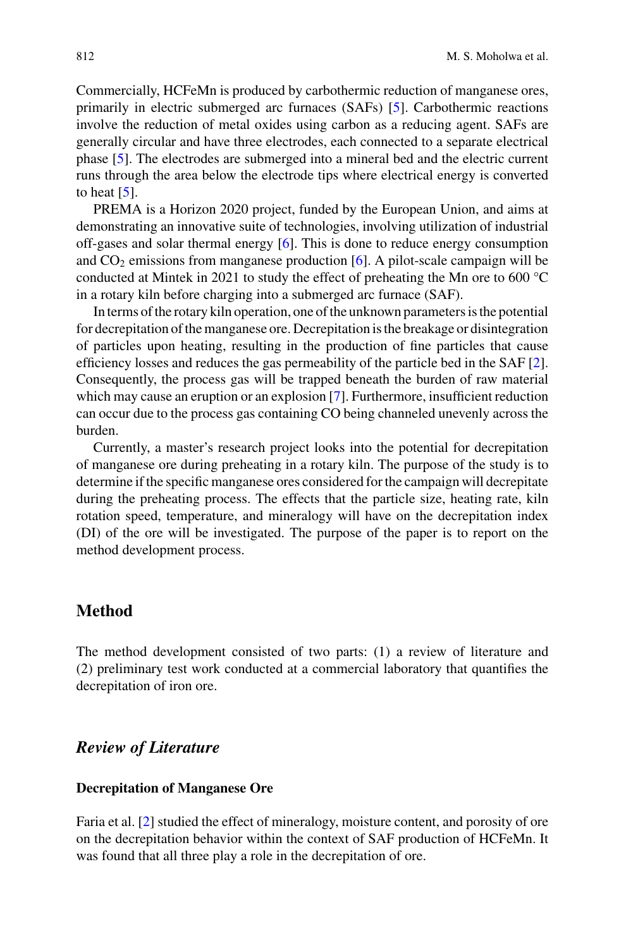Commercially, HCFeMn is produced by carbothermic reduction of manganese ores, primarily in electric submerged arc furnaces (SAFs) [\[5\]](#page-10-4). Carbothermic reactions involve the reduction of metal oxides using carbon as a reducing agent. SAFs are generally circular and have three electrodes, each connected to a separate electrical phase [\[5\]](#page-10-4). The electrodes are submerged into a mineral bed and the electric current runs through the area below the electrode tips where electrical energy is converted to heat  $[5]$ .

PREMA is a Horizon 2020 project, funded by the European Union, and aims at demonstrating an innovative suite of technologies, involving utilization of industrial off-gases and solar thermal energy [\[6\]](#page-10-5). This is done to reduce energy consumption and  $CO<sub>2</sub>$  emissions from manganese production [\[6\]](#page-10-5). A pilot-scale campaign will be conducted at Mintek in 2021 to study the effect of preheating the Mn ore to 600 °C in a rotary kiln before charging into a submerged arc furnace (SAF).

In terms of the rotary kiln operation, one of the unknown parameters is the potential for decrepitation of the manganese ore. Decrepitation is the breakage or disintegration of particles upon heating, resulting in the production of fine particles that cause efficiency losses and reduces the gas permeability of the particle bed in the SAF [\[2\]](#page-10-1). Consequently, the process gas will be trapped beneath the burden of raw material which may cause an eruption or an explosion [\[7\]](#page-10-6). Furthermore, insufficient reduction can occur due to the process gas containing CO being channeled unevenly across the burden.

Currently, a master's research project looks into the potential for decrepitation of manganese ore during preheating in a rotary kiln. The purpose of the study is to determine if the specific manganese ores considered for the campaign will decrepitate during the preheating process. The effects that the particle size, heating rate, kiln rotation speed, temperature, and mineralogy will have on the decrepitation index (DI) of the ore will be investigated. The purpose of the paper is to report on the method development process.

## **Method**

The method development consisted of two parts: (1) a review of literature and (2) preliminary test work conducted at a commercial laboratory that quantifies the decrepitation of iron ore.

# *Review of Literature*

#### **Decrepitation of Manganese Ore**

Faria et al. [\[2\]](#page-10-1) studied the effect of mineralogy, moisture content, and porosity of ore on the decrepitation behavior within the context of SAF production of HCFeMn. It was found that all three play a role in the decrepitation of ore.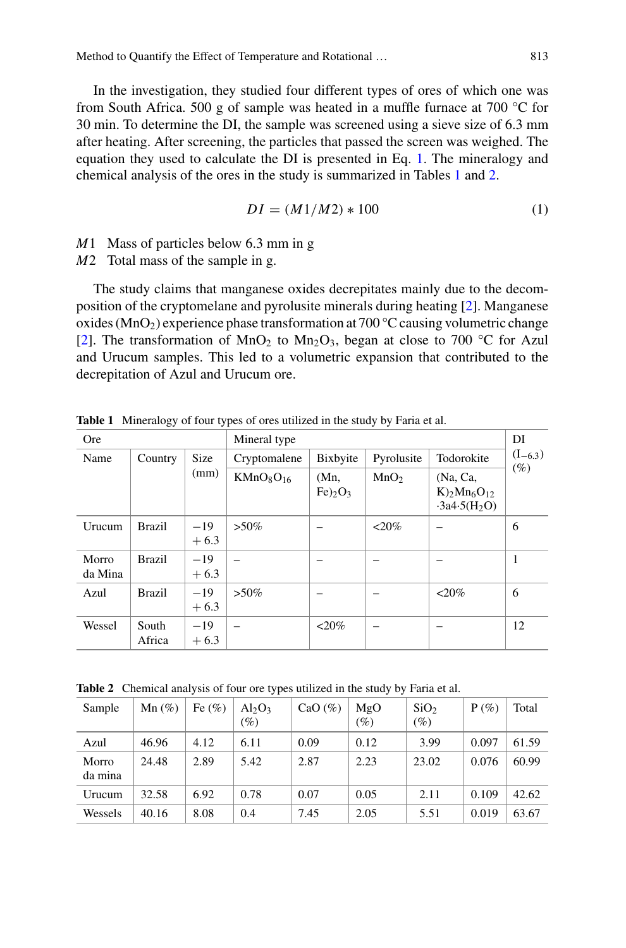In the investigation, they studied four different types of ores of which one was from South Africa. 500 g of sample was heated in a muffle furnace at 700 °C for 30 min. To determine the DI, the sample was screened using a sieve size of 6.3 mm after heating. After screening, the particles that passed the screen was weighed. The equation they used to calculate the DI is presented in Eq. [1.](#page-2-0) The mineralogy and chemical analysis of the ores in the study is summarized in Tables [1](#page-2-1) and [2.](#page-2-2)

<span id="page-2-0"></span>
$$
DI = (M1/M2) * 100
$$
 (1)

*M*1 Mass of particles below 6.3 mm in g

*M*2 Total mass of the sample in g.

The study claims that manganese oxides decrepitates mainly due to the decomposition of the cryptomelane and pyrolusite minerals during heating [\[2\]](#page-10-1). Manganese oxides (MnO<sub>2</sub>) experience phase transformation at 700 °C causing volumetric change [\[2\]](#page-10-1). The transformation of  $MnO<sub>2</sub>$  to  $Mn<sub>2</sub>O<sub>3</sub>$ , began at close to 700 °C for Azul and Urucum samples. This led to a volumetric expansion that contributed to the decrepitation of Azul and Urucum ore.

| <b>Ore</b>       |                 |                 | Mineral type   |                                            |            |                                                                                |                        |  |
|------------------|-----------------|-----------------|----------------|--------------------------------------------|------------|--------------------------------------------------------------------------------|------------------------|--|
| Name             | Country         | <b>Size</b>     | Cryptomalene   | Bixbyite                                   | Pyrolusite | Todorokite                                                                     | $(I_{-6.3})$<br>$(\%)$ |  |
|                  | (mm)            |                 | $KMnO_8O_{16}$ | MnO <sub>2</sub><br>(Mn,<br>$Fe)_{2}O_{3}$ |            | (Na, Ca,<br>$K$ <sub>2</sub> Mn <sub>6</sub> O <sub>12</sub><br>$-3a4.5(H_2O)$ |                        |  |
| Urucum           | Brazil          | $-19$<br>$+6.3$ | $>50\%$        |                                            | $<$ 20%    |                                                                                | 6                      |  |
| Morro<br>da Mina | <b>Brazil</b>   | $-19$<br>$+6.3$ |                |                                            |            |                                                                                | 1                      |  |
| Azul             | <b>Brazil</b>   | $-19$<br>$+6.3$ | $>50\%$        |                                            |            | $<$ 20%                                                                        | 6                      |  |
| Wessel           | South<br>Africa | $-19$<br>$+6.3$ |                | $<$ 20%                                    |            |                                                                                | 12                     |  |

<span id="page-2-1"></span>**Table 1** Mineralogy of four types of ores utilized in the study by Faria et al.

<span id="page-2-2"></span>**Table 2** Chemical analysis of four ore types utilized in the study by Faria et al.

| Sample           | Mn $(%)$ | Fe $(\%)$ | $Al_2O_3$<br>$(\%)$ | CaO $(\% )$ | MgO<br>$(\%)$ | SiO <sub>2</sub><br>$(\%)$ | $P(\%)$ | Total |
|------------------|----------|-----------|---------------------|-------------|---------------|----------------------------|---------|-------|
| Azul             | 46.96    | 4.12      | 6.11                | 0.09        | 0.12          | 3.99                       | 0.097   | 61.59 |
| Morro<br>da mina | 24.48    | 2.89      | 5.42                | 2.87        | 2.23          | 23.02                      | 0.076   | 60.99 |
| Urucum           | 32.58    | 6.92      | 0.78                | 0.07        | 0.05          | 2.11                       | 0.109   | 42.62 |
| Wessels          | 40.16    | 8.08      | 0.4                 | 7.45        | 2.05          | 5.51                       | 0.019   | 63.67 |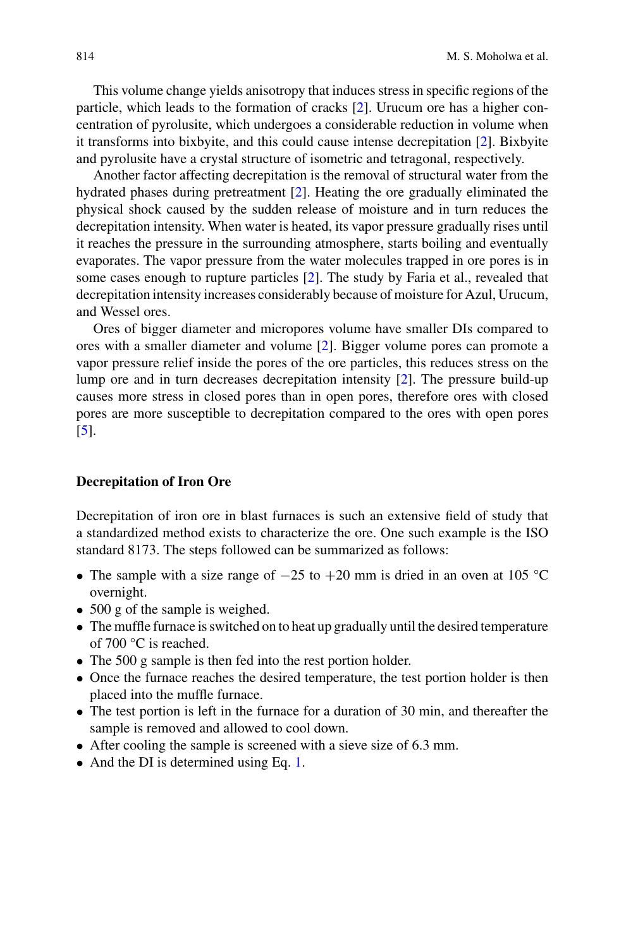This volume change yields anisotropy that induces stress in specific regions of the particle, which leads to the formation of cracks [\[2\]](#page-10-1). Urucum ore has a higher concentration of pyrolusite, which undergoes a considerable reduction in volume when it transforms into bixbyite, and this could cause intense decrepitation [\[2\]](#page-10-1). Bixbyite and pyrolusite have a crystal structure of isometric and tetragonal, respectively.

Another factor affecting decrepitation is the removal of structural water from the hydrated phases during pretreatment [\[2\]](#page-10-1). Heating the ore gradually eliminated the physical shock caused by the sudden release of moisture and in turn reduces the decrepitation intensity. When water is heated, its vapor pressure gradually rises until it reaches the pressure in the surrounding atmosphere, starts boiling and eventually evaporates. The vapor pressure from the water molecules trapped in ore pores is in some cases enough to rupture particles [\[2\]](#page-10-1). The study by Faria et al., revealed that decrepitation intensity increases considerably because of moisture for Azul, Urucum, and Wessel ores.

Ores of bigger diameter and micropores volume have smaller DIs compared to ores with a smaller diameter and volume [\[2\]](#page-10-1). Bigger volume pores can promote a vapor pressure relief inside the pores of the ore particles, this reduces stress on the lump ore and in turn decreases decrepitation intensity [\[2\]](#page-10-1). The pressure build-up causes more stress in closed pores than in open pores, therefore ores with closed pores are more susceptible to decrepitation compared to the ores with open pores [\[5\]](#page-10-4).

#### **Decrepitation of Iron Ore**

Decrepitation of iron ore in blast furnaces is such an extensive field of study that a standardized method exists to characterize the ore. One such example is the ISO standard 8173. The steps followed can be summarized as follows:

- The sample with a size range of  $-25$  to  $+20$  mm is dried in an oven at 105 °C overnight.
- 500 g of the sample is weighed.
- The muffle furnace is switched on to heat up gradually until the desired temperature of 700 °C is reached.
- The 500 g sample is then fed into the rest portion holder.
- Once the furnace reaches the desired temperature, the test portion holder is then placed into the muffle furnace.
- The test portion is left in the furnace for a duration of 30 min, and thereafter the sample is removed and allowed to cool down.
- After cooling the sample is screened with a sieve size of 6.3 mm.
- And the DI is determined using Eq. [1.](#page-2-0)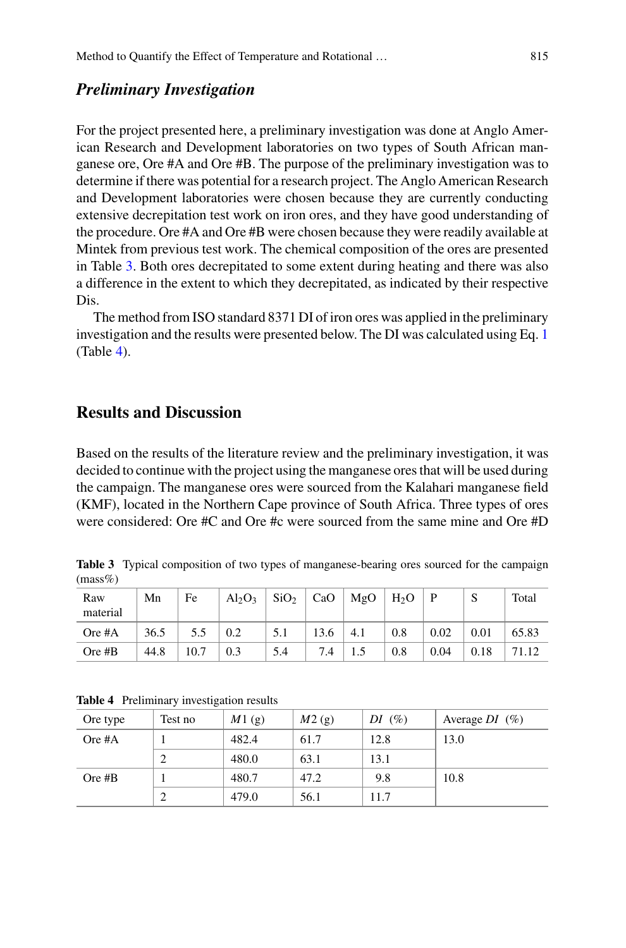## *Preliminary Investigation*

For the project presented here, a preliminary investigation was done at Anglo American Research and Development laboratories on two types of South African manganese ore, Ore #A and Ore #B. The purpose of the preliminary investigation was to determine if there was potential for a research project. The Anglo American Research and Development laboratories were chosen because they are currently conducting extensive decrepitation test work on iron ores, and they have good understanding of the procedure. Ore #A and Ore #B were chosen because they were readily available at Mintek from previous test work. The chemical composition of the ores are presented in Table [3.](#page-4-0) Both ores decrepitated to some extent during heating and there was also a difference in the extent to which they decrepitated, as indicated by their respective Dis.

The method from ISO standard 8371 DI of iron ores was applied in the preliminary investigation and the results were presented below. The DI was calculated using Eq. [1](#page-2-0) (Table [4\)](#page-4-1).

# **Results and Discussion**

Based on the results of the literature review and the preliminary investigation, it was decided to continue with the project using the manganese ores that will be used during the campaign. The manganese ores were sourced from the Kalahari manganese field (KMF), located in the Northern Cape province of South Africa. Three types of ores were considered: Ore #C and Ore #c were sourced from the same mine and Ore #D

<span id="page-4-0"></span>**Table 3** Typical composition of two types of manganese-bearing ores sourced for the campaign  $(mass\%)$ 

| Raw<br>material | Mn   | Fe   | $Al_2O_3$ | SiO <sub>2</sub> | CaO  | MgO | H <sub>2</sub> O |      | S    | Total |
|-----------------|------|------|-----------|------------------|------|-----|------------------|------|------|-------|
| Ore #A          | 36.5 |      | 0.2       | 5.1              | 13.6 | 4.1 | 0.8              | 0.02 | 0.01 | 65.83 |
| Ore $#B$        | 44.8 | 10.7 | 0.3       | 5.4              | 7.4  |     | 0.8              | 0.04 | 0.18 | 71.12 |

| Ore type | Test no | M1(g) | M2(g) | $DI(\%)$ | Average $DI$ (%) |
|----------|---------|-------|-------|----------|------------------|
| Ore #A   |         | 482.4 | 61.7  | 12.8     | 13.0             |
|          |         | 480.0 | 63.1  | 13.1     |                  |
| Ore $#B$ |         | 480.7 | 47.2  | 9.8      | 10.8             |
|          |         | 479.0 | 56.1  | 11.7     |                  |

<span id="page-4-1"></span>**Table 4** Preliminary investigation results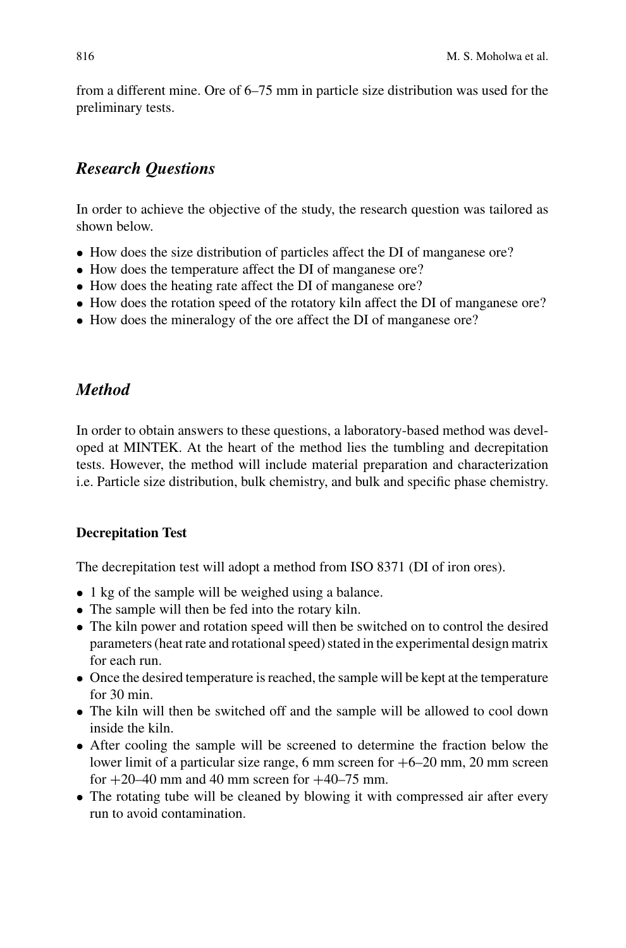from a different mine. Ore of 6–75 mm in particle size distribution was used for the preliminary tests.

# *Research Questions*

In order to achieve the objective of the study, the research question was tailored as shown below.

- How does the size distribution of particles affect the DI of manganese ore?
- How does the temperature affect the DI of manganese ore?
- How does the heating rate affect the DI of manganese ore?
- How does the rotation speed of the rotatory kiln affect the DI of manganese ore?
- How does the mineralogy of the ore affect the DI of manganese ore?

# *Method*

In order to obtain answers to these questions, a laboratory-based method was developed at MINTEK. At the heart of the method lies the tumbling and decrepitation tests. However, the method will include material preparation and characterization i.e. Particle size distribution, bulk chemistry, and bulk and specific phase chemistry.

#### **Decrepitation Test**

The decrepitation test will adopt a method from ISO 8371 (DI of iron ores).

- 1 kg of the sample will be weighed using a balance.
- The sample will then be fed into the rotary kiln.
- The kiln power and rotation speed will then be switched on to control the desired parameters (heat rate and rotational speed) stated in the experimental design matrix for each run.
- Once the desired temperature is reached, the sample will be kept at the temperature for 30 min.
- The kiln will then be switched off and the sample will be allowed to cool down inside the kiln.
- After cooling the sample will be screened to determine the fraction below the lower limit of a particular size range, 6 mm screen for  $+6-20$  mm, 20 mm screen for  $+20-40$  mm and 40 mm screen for  $+40-75$  mm.
- The rotating tube will be cleaned by blowing it with compressed air after every run to avoid contamination.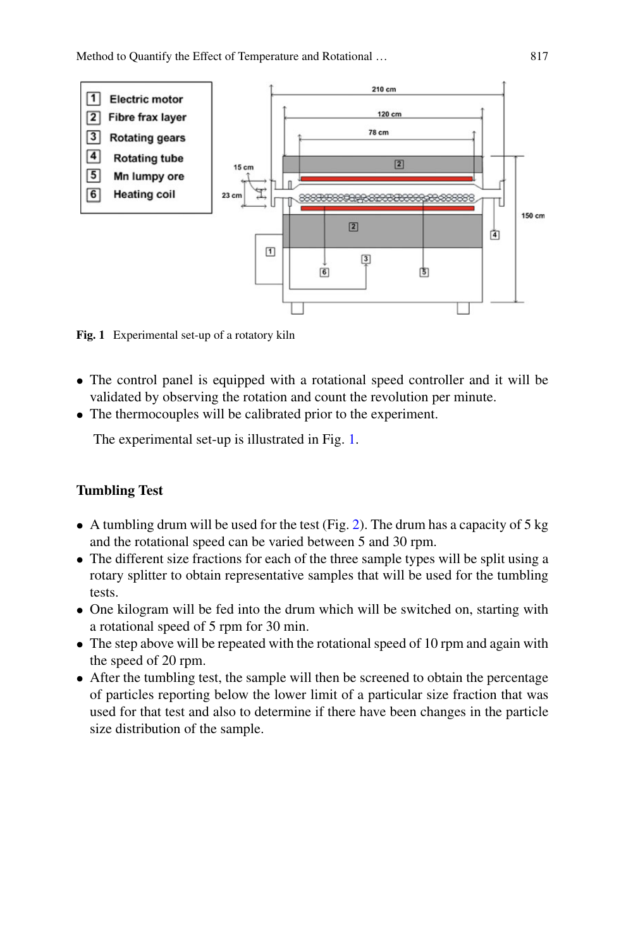

<span id="page-6-0"></span>**Fig. 1** Experimental set-up of a rotatory kiln

- The control panel is equipped with a rotational speed controller and it will be validated by observing the rotation and count the revolution per minute.
- The thermocouples will be calibrated prior to the experiment.

The experimental set-up is illustrated in Fig. [1.](#page-6-0)

# **Tumbling Test**

- $\bullet$  A tumbling drum will be used for the test (Fig. [2\)](#page-7-0). The drum has a capacity of 5 kg and the rotational speed can be varied between 5 and 30 rpm.
- The different size fractions for each of the three sample types will be split using a rotary splitter to obtain representative samples that will be used for the tumbling tests.
- One kilogram will be fed into the drum which will be switched on, starting with a rotational speed of 5 rpm for 30 min.
- The step above will be repeated with the rotational speed of 10 rpm and again with the speed of 20 rpm.
- After the tumbling test, the sample will then be screened to obtain the percentage of particles reporting below the lower limit of a particular size fraction that was used for that test and also to determine if there have been changes in the particle size distribution of the sample.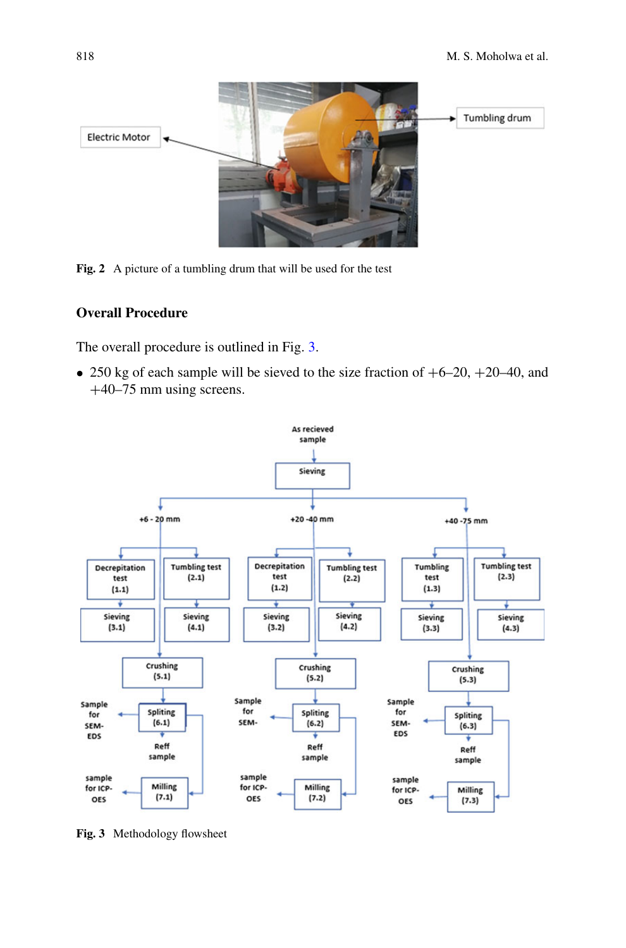

**Fig. 2** A picture of a tumbling drum that will be used for the test

#### <span id="page-7-0"></span>**Overall Procedure**

The overall procedure is outlined in Fig. [3.](#page-7-1)

• 250 kg of each sample will be sieved to the size fraction of  $+6-20$ ,  $+20-40$ , and +40–75 mm using screens.



<span id="page-7-1"></span>**Fig. 3** Methodology flowsheet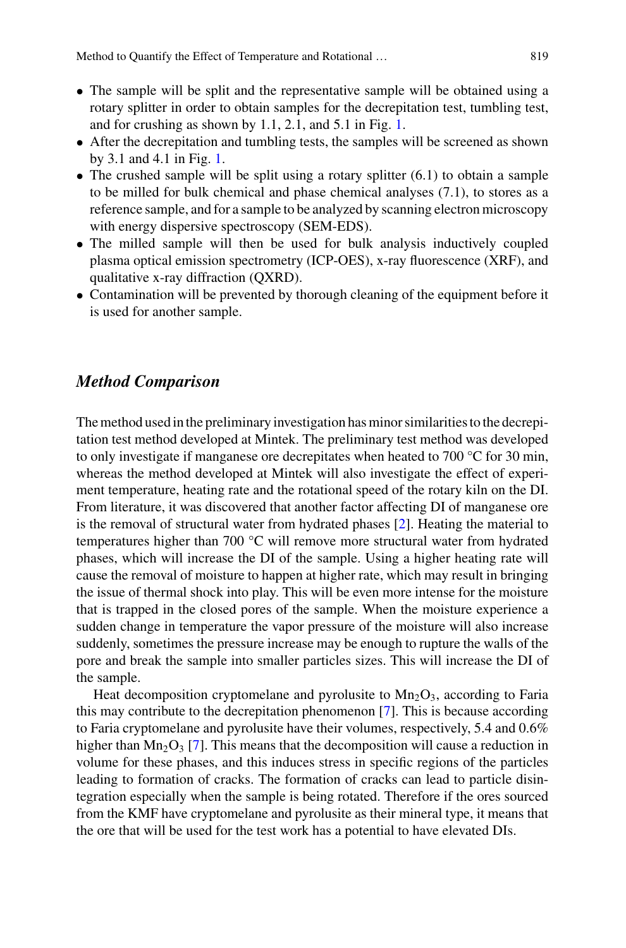- The sample will be split and the representative sample will be obtained using a rotary splitter in order to obtain samples for the decrepitation test, tumbling test, and for crushing as shown by 1.1, 2.1, and 5.1 in Fig. [1.](#page-6-0)
- After the decrepitation and tumbling tests, the samples will be screened as shown by 3.1 and 4.1 in Fig. [1.](#page-6-0)
- The crushed sample will be split using a rotary splitter (6.1) to obtain a sample to be milled for bulk chemical and phase chemical analyses (7.1), to stores as a reference sample, and for a sample to be analyzed by scanning electron microscopy with energy dispersive spectroscopy (SEM-EDS).
- The milled sample will then be used for bulk analysis inductively coupled plasma optical emission spectrometry (ICP-OES), x-ray fluorescence (XRF), and qualitative x-ray diffraction (QXRD).
- Contamination will be prevented by thorough cleaning of the equipment before it is used for another sample.

## *Method Comparison*

The method used in the preliminary investigation has minor similarities to the decrepitation test method developed at Mintek. The preliminary test method was developed to only investigate if manganese ore decrepitates when heated to 700 °C for 30 min, whereas the method developed at Mintek will also investigate the effect of experiment temperature, heating rate and the rotational speed of the rotary kiln on the DI. From literature, it was discovered that another factor affecting DI of manganese ore is the removal of structural water from hydrated phases [\[2\]](#page-10-1). Heating the material to temperatures higher than 700 °C will remove more structural water from hydrated phases, which will increase the DI of the sample. Using a higher heating rate will cause the removal of moisture to happen at higher rate, which may result in bringing the issue of thermal shock into play. This will be even more intense for the moisture that is trapped in the closed pores of the sample. When the moisture experience a sudden change in temperature the vapor pressure of the moisture will also increase suddenly, sometimes the pressure increase may be enough to rupture the walls of the pore and break the sample into smaller particles sizes. This will increase the DI of the sample.

Heat decomposition cryptomelane and pyrolusite to  $Mn_2O_3$ , according to Faria this may contribute to the decrepitation phenomenon [\[7\]](#page-10-6). This is because according to Faria cryptomelane and pyrolusite have their volumes, respectively, 5.4 and 0.6% higher than  $Mn_2O_3$  [\[7\]](#page-10-6). This means that the decomposition will cause a reduction in volume for these phases, and this induces stress in specific regions of the particles leading to formation of cracks. The formation of cracks can lead to particle disintegration especially when the sample is being rotated. Therefore if the ores sourced from the KMF have cryptomelane and pyrolusite as their mineral type, it means that the ore that will be used for the test work has a potential to have elevated DIs.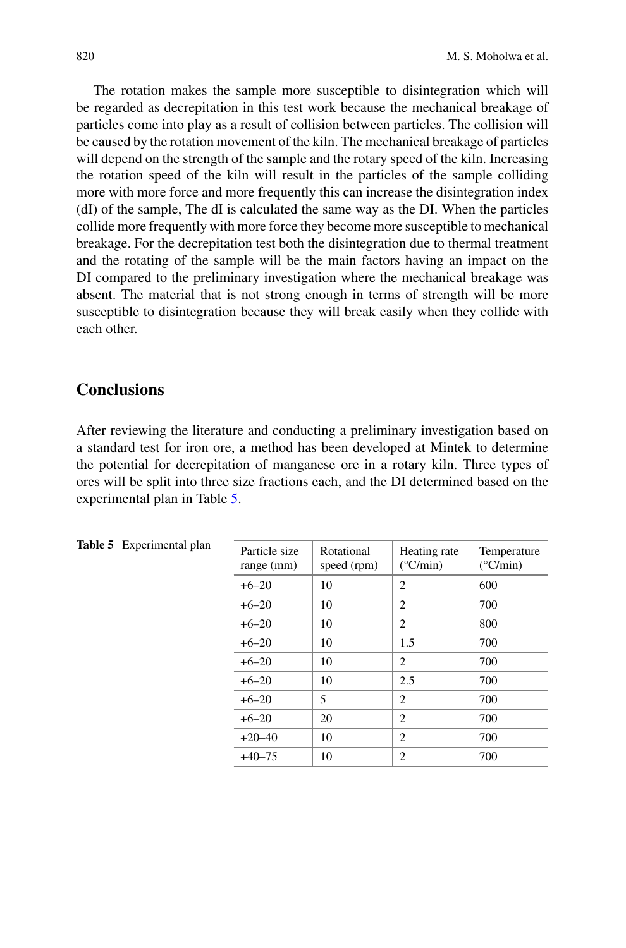The rotation makes the sample more susceptible to disintegration which will be regarded as decrepitation in this test work because the mechanical breakage of particles come into play as a result of collision between particles. The collision will be caused by the rotation movement of the kiln. The mechanical breakage of particles will depend on the strength of the sample and the rotary speed of the kiln. Increasing the rotation speed of the kiln will result in the particles of the sample colliding more with more force and more frequently this can increase the disintegration index (dI) of the sample, The dI is calculated the same way as the DI. When the particles collide more frequently with more force they become more susceptible to mechanical breakage. For the decrepitation test both the disintegration due to thermal treatment and the rotating of the sample will be the main factors having an impact on the DI compared to the preliminary investigation where the mechanical breakage was absent. The material that is not strong enough in terms of strength will be more susceptible to disintegration because they will break easily when they collide with each other.

# **Conclusions**

After reviewing the literature and conducting a preliminary investigation based on a standard test for iron ore, a method has been developed at Mintek to determine the potential for decrepitation of manganese ore in a rotary kiln. Three types of ores will be split into three size fractions each, and the DI determined based on the experimental plan in Table [5.](#page-9-0)

| Particle size<br>range (mm) | Rotational<br>speed (rpm) | Heating rate<br>$(^{\circ}C/min)$ | Temperature<br>$(^{\circ}C/min)$ |
|-----------------------------|---------------------------|-----------------------------------|----------------------------------|
| $+6-20$                     | 10                        | 2                                 | 600                              |
| $+6-20$                     | 10                        | 2                                 | 700                              |
| $+6-20$                     | 10                        | 2                                 | 800                              |
| $+6-20$                     | 10                        | 1.5                               | 700                              |
| $+6-20$                     | 10                        | 2                                 | 700                              |
| $+6-20$                     | 10                        | 2.5                               | 700                              |
| $+6-20$                     | 5                         | 2                                 | 700                              |
| $+6-20$                     | 20                        | 2                                 | 700                              |
| $+20 - 40$                  | 10                        | 2                                 | 700                              |
| $+40-75$                    | 10                        | 2                                 | 700                              |

<span id="page-9-0"></span>**Table 5** Experimental plan